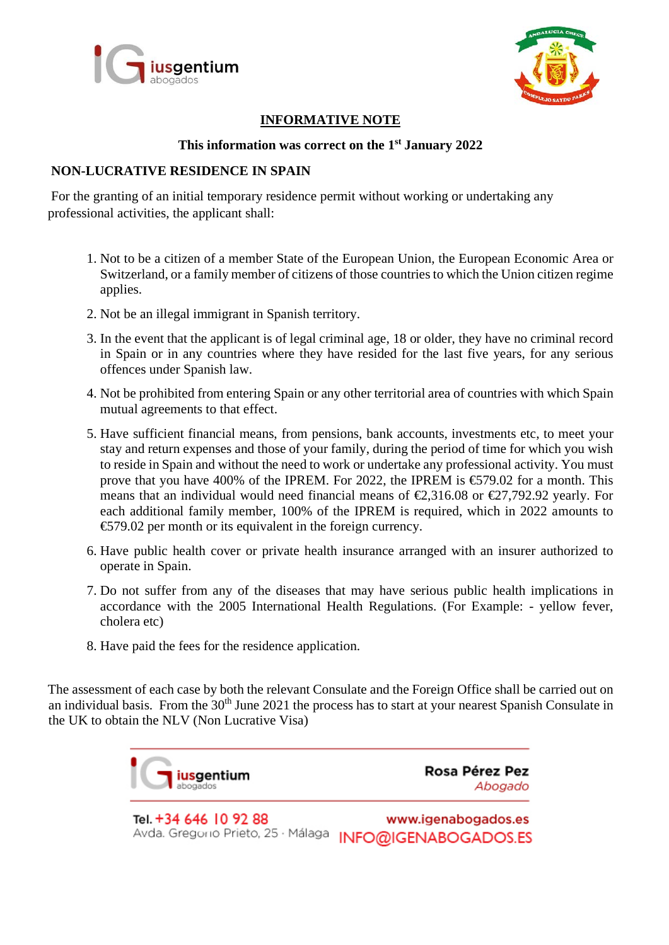



### **INFORMATIVE NOTE**

## **This information was correct on the 1st January 2022**

#### **NON-LUCRATIVE RESIDENCE IN SPAIN**

For the granting of an initial temporary residence permit without working or undertaking any professional activities, the applicant shall:

- 1. Not to be a citizen of a member State of the European Union, the European Economic Area or Switzerland, or a family member of citizens of those countries to which the Union citizen regime applies.
- 2. Not be an illegal immigrant in Spanish territory.
- 3. In the event that the applicant is of legal criminal age, 18 or older, they have no criminal record in Spain or in any countries where they have resided for the last five years, for any serious offences under Spanish law.
- 4. Not be prohibited from entering Spain or any other territorial area of countries with which Spain mutual agreements to that effect.
- 5. Have sufficient financial means, from pensions, bank accounts, investments etc, to meet your stay and return expenses and those of your family, during the period of time for which you wish to reside in Spain and without the need to work or undertake any professional activity. You must prove that you have 400% of the IPREM. For 2022, the IPREM is  $\text{\textsterling}579.02$  for a month. This means that an individual would need financial means of  $\epsilon$ , 316.08 or  $\epsilon$ , 27, 792.92 yearly. For each additional family member, 100% of the IPREM is required, which in 2022 amounts to €579.02 per month or its equivalent in the foreign currency.
- 6. Have public health cover or private health insurance arranged with an insurer authorized to operate in Spain.
- 7. Do not suffer from any of the diseases that may have serious public health implications in accordance with the 2005 International Health Regulations. (For Example: - yellow fever, cholera etc)
- 8. Have paid the fees for the residence application.

The assessment of each case by both the relevant Consulate and the Foreign Office shall be carried out on an individual basis. From the 30<sup>th</sup> June 2021 the process has to start at your nearest Spanish Consulate in the UK to obtain the NLV (Non Lucrative Visa)



Tel. +34 646 10 92 88 www.igenabogados.es Avda. Gregorio Prieto, 25 · Málaga **INFO@IGENABOGADOS.ES**